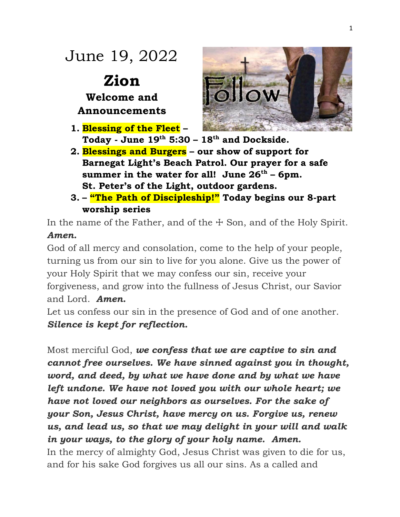# June 19, 2022

**Zion Welcome and Announcements** 

- **1. Blessing of the Fleet – Today - June 19th 5:30 – 18th and Dockside.**
- **2. Blessings and Burgers – our show of support for Barnegat Light's Beach Patrol. Our prayer for a safe summer in the water for all! June 26th – 6pm. St. Peter's of the Light, outdoor gardens.**
- **3. – "The Path of Discipleship!" Today begins our 8-part worship series**

In the name of the Father, and of the  $\pm$  Son, and of the Holy Spirit. *Amen.*

God of all mercy and consolation, come to the help of your people, turning us from our sin to live for you alone. Give us the power of your Holy Spirit that we may confess our sin, receive your forgiveness, and grow into the fullness of Jesus Christ, our Savior and Lord. *Amen.*

Let us confess our sin in the presence of God and of one another. *Silence is kept for reflection.*

Most merciful God, *we confess that we are captive to sin and cannot free ourselves. We have sinned against you in thought, word, and deed, by what we have done and by what we have left undone. We have not loved you with our whole heart; we have not loved our neighbors as ourselves. For the sake of your Son, Jesus Christ, have mercy on us. Forgive us, renew us, and lead us, so that we may delight in your will and walk in your ways, to the glory of your holy name. Amen.* In the mercy of almighty God, Jesus Christ was given to die for us, and for his sake God forgives us all our sins. As a called and

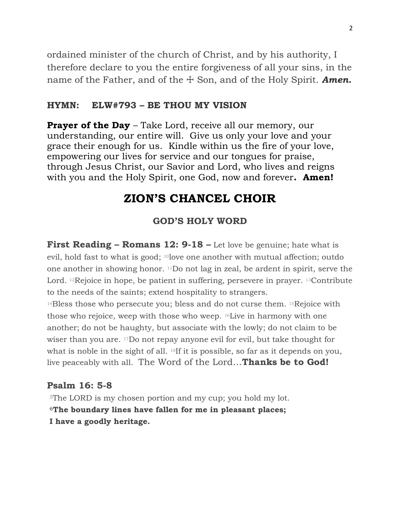ordained minister of the church of Christ, and by his authority, I therefore declare to you the entire forgiveness of all your sins, in the name of the Father, and of the  $\pm$  Son, and of the Holy Spirit. **Amen.** 

#### **HYMN: ELW#793 – BE THOU MY VISION**

**Prayer of the Day** – Take Lord, receive all our memory, our understanding, our entire will. Give us only your love and your grace their enough for us. Kindle within us the fire of your love, empowering our lives for service and our tongues for praise, through Jesus Christ, our Savior and Lord, who lives and reigns with you and the Holy Spirit, one God, now and forever**. Amen!**

## **ZION'S CHANCEL CHOIR**

#### **GOD'S HOLY WORD**

**First Reading – Romans 12: 9-18 –** Let love be genuine; hate what is evil, hold fast to what is good; <sup>10</sup>love one another with mutual affection; outdo one another in showing honor. <sup>11</sup>Do not lag in zeal, be ardent in spirit, serve the Lord. <sup>12</sup>Rejoice in hope, be patient in suffering, persevere in prayer. <sup>13</sup>Contribute to the needs of the saints; extend hospitality to strangers.

<sup>14</sup>Bless those who persecute you; bless and do not curse them. <sup>15</sup>Rejoice with those who rejoice, weep with those who weep. <sup>16</sup>Live in harmony with one another; do not be haughty, but associate with the lowly; do not claim to be wiser than you are. <sup>17</sup>Do not repay anyone evil for evil, but take thought for what is noble in the sight of all. <sup>18</sup>If it is possible, so far as it depends on you, live peaceably with all. The Word of the Lord…**Thanks be to God!**

#### **Psalm 16: 5-8**

<sup>5</sup>The LORD is my chosen portion and my cup; you hold my lot. **<sup>6</sup>The boundary lines have fallen for me in pleasant places; I have a goodly heritage.**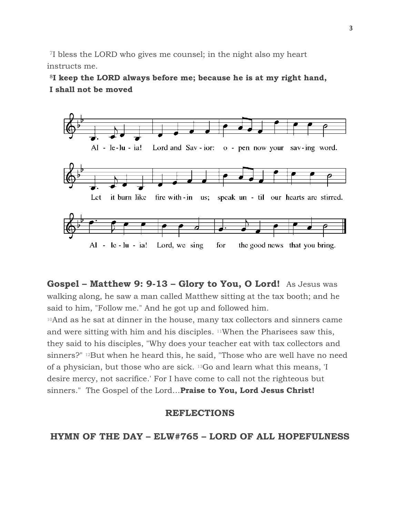<sup>7</sup>I bless the LORD who gives me counsel; in the night also my heart instructs me.

**<sup>8</sup>I keep the LORD always before me; because he is at my right hand, I shall not be moved**



**Gospel – Matthew 9: 9-13 – Glory to You, O Lord!** As Jesus was walking along, he saw a man called Matthew sitting at the tax booth; and he said to him, "Follow me." And he got up and followed him.

<sup>10</sup>And as he sat at dinner in the house, many tax collectors and sinners came and were sitting with him and his disciples. <sup>11</sup>When the Pharisees saw this, they said to his disciples, "Why does your teacher eat with tax collectors and sinners?" <sup>12</sup>But when he heard this, he said, "Those who are well have no need of a physician, but those who are sick. <sup>13</sup>Go and learn what this means, 'I desire mercy, not sacrifice.' For I have come to call not the righteous but sinners." The Gospel of the Lord…**Praise to You, Lord Jesus Christ!**

#### **REFLECTIONS**

**HYMN OF THE DAY – ELW#765 – LORD OF ALL HOPEFULNESS**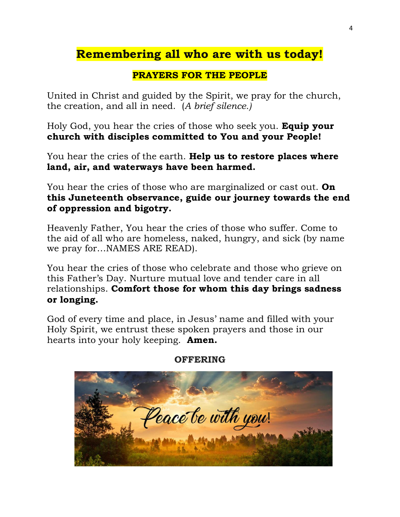# **Remembering all who are with us today!**

#### **PRAYERS FOR THE PEOPLE**

United in Christ and guided by the Spirit, we pray for the church, the creation, and all in need. (*A brief silence.)*

Holy God, you hear the cries of those who seek you. **Equip your church with disciples committed to You and your People!** 

You hear the cries of the earth. **Help us to restore places where land, air, and waterways have been harmed.** 

You hear the cries of those who are marginalized or cast out. **On this Juneteenth observance, guide our journey towards the end of oppression and bigotry.**

Heavenly Father, You hear the cries of those who suffer. Come to the aid of all who are homeless, naked, hungry, and sick (by name we pray for…NAMES ARE READ).

You hear the cries of those who celebrate and those who grieve on this Father's Day. Nurture mutual love and tender care in all relationships. **Comfort those for whom this day brings sadness or longing.**

God of every time and place, in Jesus' name and filled with your Holy Spirit, we entrust these spoken prayers and those in our hearts into your holy keeping. **Amen.**



#### **OFFERING**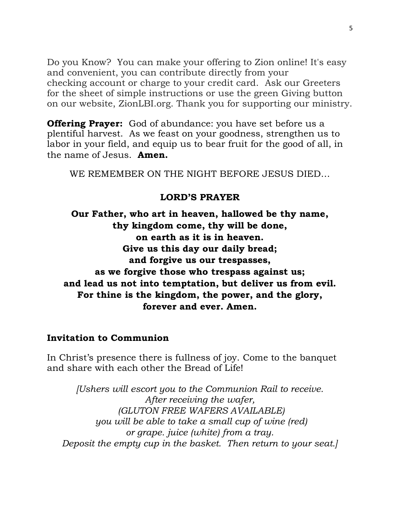Do you Know? You can make your offering to Zion online! It's easy and convenient, you can contribute directly from your checking account or charge to your credit card. Ask our Greeters for the sheet of simple instructions or use the green Giving button on our website, ZionLBI.org. Thank you for supporting our ministry.

**Offering Prayer:** God of abundance: you have set before us a plentiful harvest. As we feast on your goodness, strengthen us to labor in your field, and equip us to bear fruit for the good of all, in the name of Jesus. **Amen.**

WE REMEMBER ON THE NIGHT BEFORE JESUS DIED…

#### **LORD'S PRAYER**

**Our Father, who art in heaven, hallowed be thy name, thy kingdom come, thy will be done, on earth as it is in heaven. Give us this day our daily bread; and forgive us our trespasses, as we forgive those who trespass against us; and lead us not into temptation, but deliver us from evil. For thine is the kingdom, the power, and the glory, forever and ever. Amen.**

#### **Invitation to Communion**

In Christ's presence there is fullness of joy. Come to the banquet and share with each other the Bread of Life!

*[Ushers will escort you to the Communion Rail to receive. After receiving the wafer, (GLUTON FREE WAFERS AVAILABLE) you will be able to take a small cup of wine (red) or grape. juice (white) from a tray. Deposit the empty cup in the basket. Then return to your seat.]*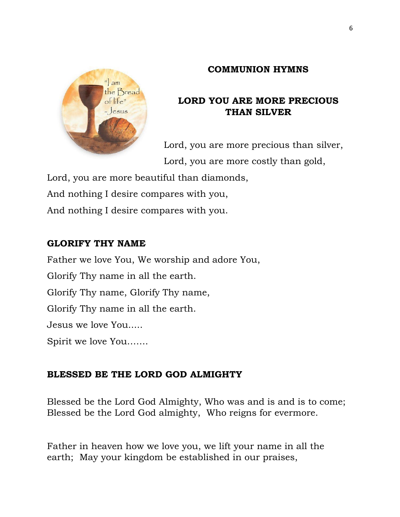#### **COMMUNION HYMNS**



## **LORD YOU ARE MORE PRECIOUS THAN SILVER**

Lord, you are more precious than silver, Lord, you are more costly than gold,

Lord, you are more beautiful than diamonds,

And nothing I desire compares with you,

And nothing I desire compares with you.

### **GLORIFY THY NAME**

Father we love You, We worship and adore You, Glorify Thy name in all the earth. Glorify Thy name, Glorify Thy name, Glorify Thy name in all the earth. Jesus we love You..... Spirit we love You…….

## **BLESSED BE THE LORD GOD ALMIGHTY**

Blessed be the Lord God Almighty, Who was and is and is to come; Blessed be the Lord God almighty, Who reigns for evermore.

Father in heaven how we love you, we lift your name in all the earth; May your kingdom be established in our praises,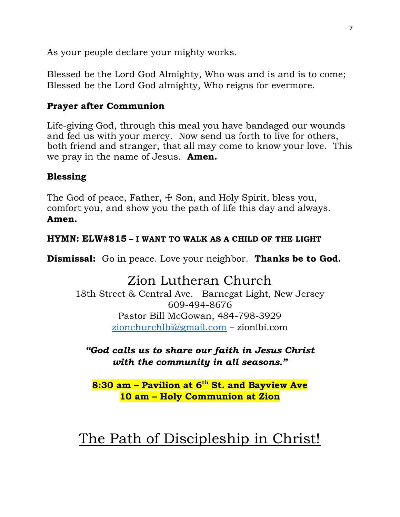As your people declare your mighty works.

Blessed be the Lord God Almighty, Who was and is and is to come; Blessed be the Lord God almighty, Who reigns for evermore.

### **Prayer after Communion**

Life-giving God, through this meal you have bandaged our wounds and fed us with your mercy. Now send us forth to live for others, both friend and stranger, that all may come to know your love. This we pray in the name of Jesus. **Amen.**

### **Blessing**

The God of peace, Father,  $\pm$  Son, and Holy Spirit, bless you, comfort you, and show you the path of life this day and always. **Amen.**

#### **HYMN: ELW#815 – I WANT TO WALK AS A CHILD OF THE LIGHT**

**Dismissal:** Go in peace. Love your neighbor. **Thanks be to God.**

# Zion Lutheran Church

18th Street & Central Ave. Barnegat Light, New Jersey 609-494-8676 Pastor Bill McGowan, 484-798-3929 [zionchurchlbi@gmail.com](mailto:zionchurchlbi@gmail.com) – zionlbi.com

*"God calls us to share our faith in Jesus Christ with the community in all seasons."*

**8:30 am – Pavilion at 6th St. and Bayview Ave 10 am – Holy Communion at Zion**

# The Path of Discipleship in Christ!